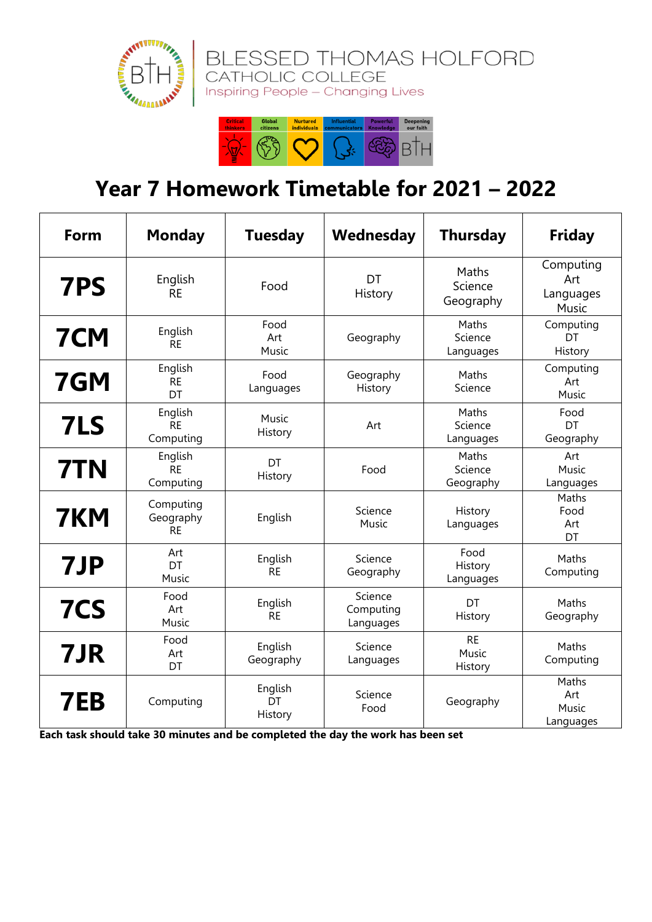



## **Year 7 Homework Timetable for 2021 – 2022**

| Form       | <b>Monday</b>                       | <b>Tuesday</b>           | Wednesday                         | <b>Thursday</b>               | <b>Friday</b>                          |
|------------|-------------------------------------|--------------------------|-----------------------------------|-------------------------------|----------------------------------------|
| 7PS        | English<br><b>RE</b>                | Food                     | DT<br>History                     | Maths<br>Science<br>Geography | Computing<br>Art<br>Languages<br>Music |
| <b>7CM</b> | English<br><b>RE</b>                | Food<br>Art<br>Music     | Geography                         | Maths<br>Science<br>Languages | Computing<br>DT<br>History             |
| 7GM        | English<br><b>RE</b><br>DT          | Food<br>Languages        | Geography<br>History              | Maths<br>Science              | Computing<br>Art<br>Music              |
| 7LS        | English<br><b>RE</b><br>Computing   | Music<br>History         | Art                               | Maths<br>Science<br>Languages | Food<br>DT<br>Geography                |
| 7TN        | English<br><b>RE</b><br>Computing   | DT<br>History            | Food                              | Maths<br>Science<br>Geography | Art<br>Music<br>Languages              |
| 7KM        | Computing<br>Geography<br><b>RE</b> | English                  | Science<br>Music                  | History<br>Languages          | Maths<br>Food<br>Art<br>DT             |
| 7JP        | Art<br>DT<br>Music                  | English<br><b>RE</b>     | Science<br>Geography              | Food<br>History<br>Languages  | Maths<br>Computing                     |
| 7CS        | Food<br>Art<br>Music                | English<br><b>RE</b>     | Science<br>Computing<br>Languages | DT<br>History                 | Maths<br>Geography                     |
| 7JR        | Food<br>Art<br>DT                   | English<br>Geography     | Science<br>Languages              | <b>RE</b><br>Music<br>History | Maths<br>Computing                     |
| 7EB        | Computing                           | English<br>DT<br>History | Science<br>Food                   | Geography                     | Maths<br>Art<br>Music<br>Languages     |

**Each task should take 30 minutes and be completed the day the work has been set**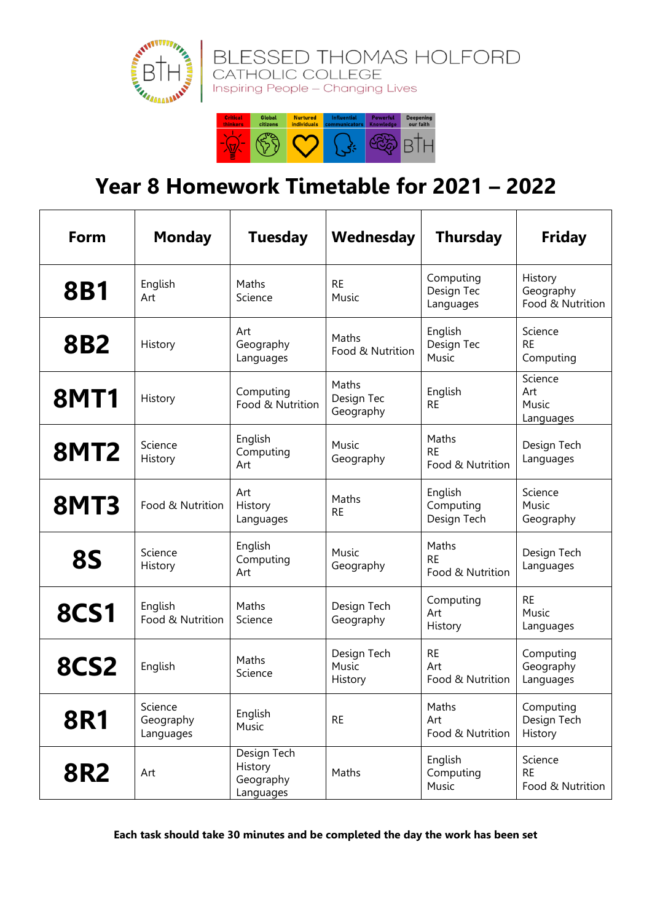

## **Year 8 Homework Timetable for 2021 – 2022**

| Form        | <b>Monday</b>                     | <b>Tuesday</b>                                   | Wednesday                        | <b>Thursday</b>                        | <b>Friday</b>                            |
|-------------|-----------------------------------|--------------------------------------------------|----------------------------------|----------------------------------------|------------------------------------------|
| <b>8B1</b>  | English<br>Art                    | Maths<br>Science                                 | <b>RE</b><br>Music               | Computing<br>Design Tec<br>Languages   | History<br>Geography<br>Food & Nutrition |
| <b>8B2</b>  | History                           | Art<br>Geography<br>Languages                    | Maths<br>Food & Nutrition        | English<br>Design Tec<br>Music         | Science<br><b>RE</b><br>Computing        |
| <b>8MT1</b> | History                           | Computing<br>Food & Nutrition                    | Maths<br>Design Tec<br>Geography | English<br><b>RE</b>                   | Science<br>Art<br>Music<br>Languages     |
| <b>8MT2</b> | Science<br>History                | English<br>Computing<br>Art                      | Music<br>Geography               | Maths<br><b>RE</b><br>Food & Nutrition | Design Tech<br>Languages                 |
| <b>8MT3</b> | Food & Nutrition                  | Art<br>History<br>Languages                      | Maths<br><b>RE</b>               | English<br>Computing<br>Design Tech    | Science<br>Music<br>Geography            |
| <b>8S</b>   | Science<br>History                | English<br>Computing<br>Art                      | Music<br>Geography               | Maths<br><b>RE</b><br>Food & Nutrition | Design Tech<br>Languages                 |
| <b>8CS1</b> | English<br>Food & Nutrition       | Maths<br>Science                                 | Design Tech<br>Geography         | Computing<br>Art<br>History            | <b>RE</b><br>Music<br>Languages          |
| <b>8CS2</b> | English                           | Maths<br>Science                                 | Design Tech<br>Music<br>History  | <b>RE</b><br>Art<br>Food & Nutrition   | Computing<br>Geography<br>Languages      |
| <b>8R1</b>  | Science<br>Geography<br>Languages | English<br>Music                                 | <b>RE</b>                        | Maths<br>Art<br>Food & Nutrition       | Computing<br>Design Tech<br>History      |
| <b>8R2</b>  | Art                               | Design Tech<br>History<br>Geography<br>Languages | Maths                            | English<br>Computing<br>Music          | Science<br><b>RE</b><br>Food & Nutrition |

**Each task should take 30 minutes and be completed the day the work has been set**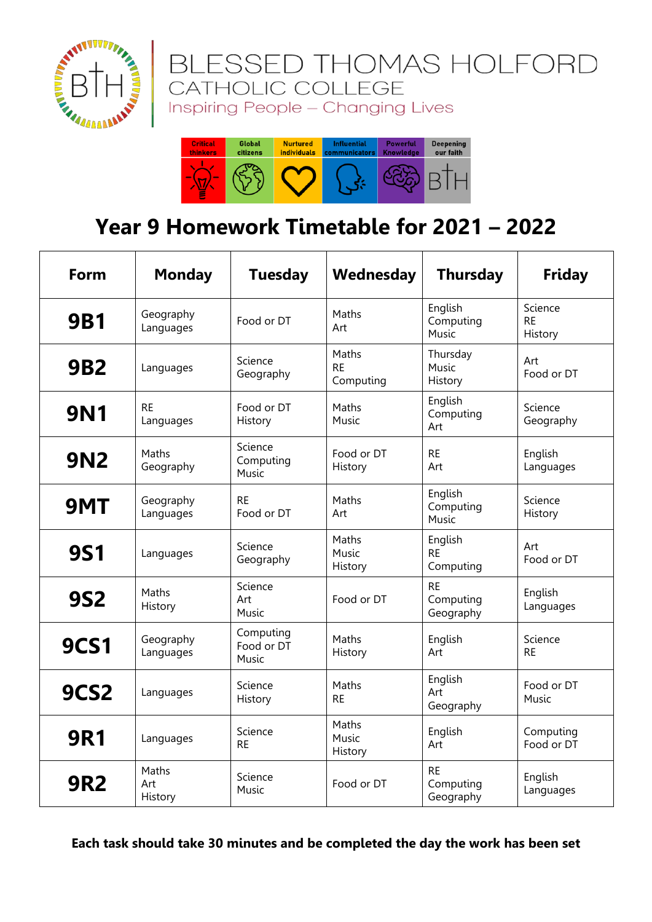

#### ESSED THOMAS HOLFORD **BLE** CATHOLIC COLLEGE Inspiring People - Changing Lives



## **Year 9 Homework Timetable for 2021 – 2022**

| Form             | <b>Monday</b>           | <b>Tuesday</b>                   | Wednesday                       | <b>Thursday</b>                     | <b>Friday</b>                   |
|------------------|-------------------------|----------------------------------|---------------------------------|-------------------------------------|---------------------------------|
| <b>9B1</b>       | Geography<br>Languages  | Food or DT                       | Maths<br>Art                    | English<br>Computing<br>Music       | Science<br><b>RE</b><br>History |
| <b>9B2</b>       | Languages               | Science<br>Geography             | Maths<br><b>RE</b><br>Computing | Thursday<br>Music<br>History        | Art<br>Food or DT               |
| <b>9N1</b>       | <b>RE</b><br>Languages  | Food or DT<br>History            | Maths<br>Music                  | English<br>Computing<br>Art         | Science<br>Geography            |
| <b>9N2</b>       | Maths<br>Geography      | Science<br>Computing<br>Music    | Food or DT<br>History           | <b>RE</b><br>Art                    | English<br>Languages            |
| 9MT              | Geography<br>Languages  | <b>RE</b><br>Food or DT          | Maths<br>Art                    | English<br>Computing<br>Music       | Science<br>History              |
| <b>9S1</b>       | Languages               | Science<br>Geography             | Maths<br>Music<br>History       | English<br><b>RE</b><br>Computing   | Art<br>Food or DT               |
| <b>9S2</b>       | Maths<br>History        | Science<br>Art<br>Music          | Food or DT                      | <b>RE</b><br>Computing<br>Geography | English<br>Languages            |
| <b>9CS1</b>      | Geography<br>Languages  | Computing<br>Food or DT<br>Music | Maths<br>History                | English<br>Art                      | Science<br><b>RE</b>            |
| 9CS <sub>2</sub> | Languages               | Science<br>History               | Maths<br><b>RE</b>              | English<br>Art<br>Geography         | Food or DT<br>Music             |
| <b>9R1</b>       | Languages               | Science<br><b>RE</b>             | Maths<br>Music<br>History       | English<br>Art                      | Computing<br>Food or DT         |
| <b>9R2</b>       | Maths<br>Art<br>History | Science<br>Music                 | Food or DT                      | <b>RE</b><br>Computing<br>Geography | English<br>Languages            |

**Each task should take 30 minutes and be completed the day the work has been set**